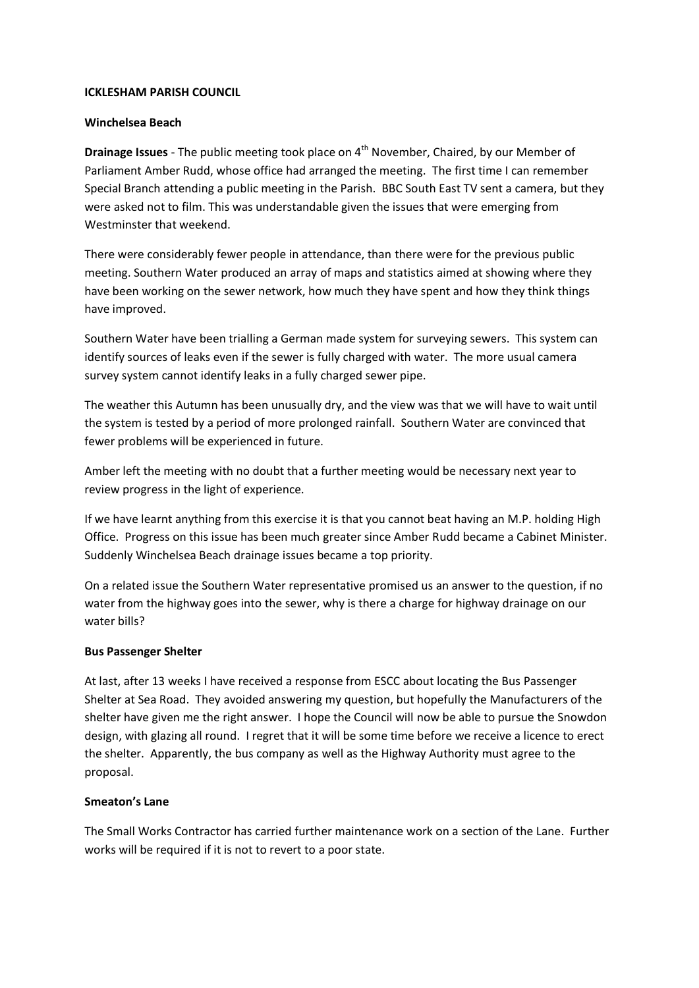#### **ICKLESHAM PARISH COUNCIL**

#### **Winchelsea Beach**

**Drainage Issues** - The public meeting took place on 4<sup>th</sup> November, Chaired, by our Member of Parliament Amber Rudd, whose office had arranged the meeting. The first time I can remember Special Branch attending a public meeting in the Parish. BBC South East TV sent a camera, but they were asked not to film. This was understandable given the issues that were emerging from Westminster that weekend.

There were considerably fewer people in attendance, than there were for the previous public meeting. Southern Water produced an array of maps and statistics aimed at showing where they have been working on the sewer network, how much they have spent and how they think things have improved.

Southern Water have been trialling a German made system for surveying sewers. This system can identify sources of leaks even if the sewer is fully charged with water. The more usual camera survey system cannot identify leaks in a fully charged sewer pipe.

The weather this Autumn has been unusually dry, and the view was that we will have to wait until the system is tested by a period of more prolonged rainfall. Southern Water are convinced that fewer problems will be experienced in future.

Amber left the meeting with no doubt that a further meeting would be necessary next year to review progress in the light of experience.

If we have learnt anything from this exercise it is that you cannot beat having an M.P. holding High Office. Progress on this issue has been much greater since Amber Rudd became a Cabinet Minister. Suddenly Winchelsea Beach drainage issues became a top priority.

On a related issue the Southern Water representative promised us an answer to the question, if no water from the highway goes into the sewer, why is there a charge for highway drainage on our water bills?

### **Bus Passenger Shelter**

At last, after 13 weeks I have received a response from ESCC about locating the Bus Passenger Shelter at Sea Road. They avoided answering my question, but hopefully the Manufacturers of the shelter have given me the right answer. I hope the Council will now be able to pursue the Snowdon design, with glazing all round. I regret that it will be some time before we receive a licence to erect the shelter. Apparently, the bus company as well as the Highway Authority must agree to the proposal.

### **Smeaton's Lane**

The Small Works Contractor has carried further maintenance work on a section of the Lane. Further works will be required if it is not to revert to a poor state.